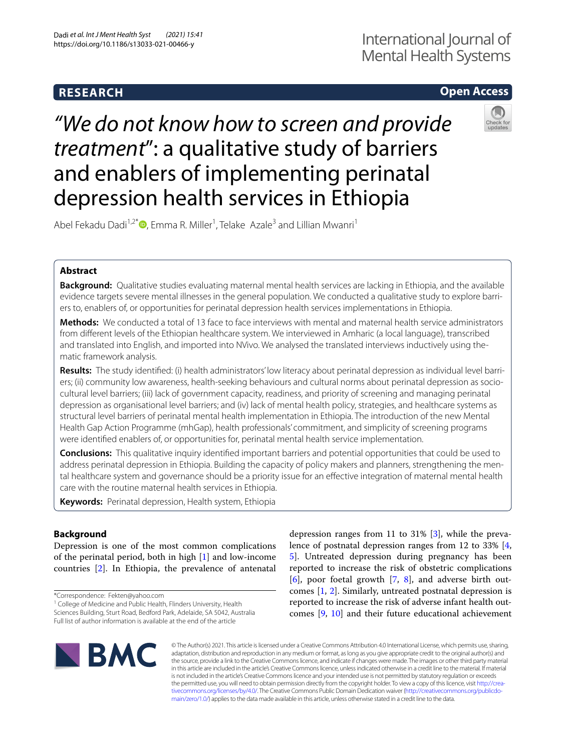# **RESEARCH**

# **Open Access**

# *"We do not know how to screen and provide treatment*": a qualitative study of barriers and enablers of implementing perinatal depression health services in Ethiopia



Abel Fekadu Dadi<sup>1,2[\\*](https://orcid.org/0000-0001-9967-7713)</sup>®, Emma R. Miller<sup>1</sup>, Telake Azale<sup>3</sup> and Lillian Mwanri<sup>1</sup>

# **Abstract**

**Background:** Qualitative studies evaluating maternal mental health services are lacking in Ethiopia, and the available evidence targets severe mental illnesses in the general population. We conducted a qualitative study to explore barriers to, enablers of, or opportunities for perinatal depression health services implementations in Ethiopia.

**Methods:** We conducted a total of 13 face to face interviews with mental and maternal health service administrators from diferent levels of the Ethiopian healthcare system. We interviewed in Amharic (a local language), transcribed and translated into English, and imported into NVivo. We analysed the translated interviews inductively using thematic framework analysis.

**Results:** The study identifed: (i) health administrators' low literacy about perinatal depression as individual level barriers; (ii) community low awareness, health-seeking behaviours and cultural norms about perinatal depression as sociocultural level barriers; (iii) lack of government capacity, readiness, and priority of screening and managing perinatal depression as organisational level barriers; and (iv) lack of mental health policy, strategies, and healthcare systems as structural level barriers of perinatal mental health implementation in Ethiopia. The introduction of the new Mental Health Gap Action Programme (mhGap), health professionals' commitment, and simplicity of screening programs were identifed enablers of, or opportunities for, perinatal mental health service implementation.

**Conclusions:** This qualitative inquiry identifed important barriers and potential opportunities that could be used to address perinatal depression in Ethiopia. Building the capacity of policy makers and planners, strengthening the mental healthcare system and governance should be a priority issue for an efective integration of maternal mental health care with the routine maternal health services in Ethiopia.

**Keywords:** Perinatal depression, Health system, Ethiopia

# **Background**

Depression is one of the most common complications of the perinatal period, both in high [[1\]](#page-12-0) and low-income countries [[2\]](#page-12-1). In Ethiopia, the prevalence of antenatal

\*Correspondence: Fekten@yahoo.com

<sup>1</sup> College of Medicine and Public Health, Flinders University, Health Sciences Building, Sturt Road, Bedford Park, Adelaide, SA 5042, Australia Full list of author information is available at the end of the article

depression ranges from 11 to 31% [[3\]](#page-12-2), while the prevalence of postnatal depression ranges from 12 to 33% [\[4](#page-12-3), [5\]](#page-12-4). Untreated depression during pregnancy has been reported to increase the risk of obstetric complications  $[6]$  $[6]$ , poor foetal growth  $[7, 8]$  $[7, 8]$  $[7, 8]$  $[7, 8]$ , and adverse birth outcomes [[1,](#page-12-0) [2](#page-12-1)]. Similarly, untreated postnatal depression is reported to increase the risk of adverse infant health outcomes [[9,](#page-13-3) [10](#page-13-4)] and their future educational achievement



© The Author(s) 2021. This article is licensed under a Creative Commons Attribution 4.0 International License, which permits use, sharing, adaptation, distribution and reproduction in any medium or format, as long as you give appropriate credit to the original author(s) and the source, provide a link to the Creative Commons licence, and indicate if changes were made. The images or other third party material in this article are included in the article's Creative Commons licence, unless indicated otherwise in a credit line to the material. If material is not included in the article's Creative Commons licence and your intended use is not permitted by statutory regulation or exceeds the permitted use, you will need to obtain permission directly from the copyright holder. To view a copy of this licence, visit [http://crea](http://creativecommons.org/licenses/by/4.0/)[tivecommons.org/licenses/by/4.0/.](http://creativecommons.org/licenses/by/4.0/) The Creative Commons Public Domain Dedication waiver ([http://creativecommons.org/publicdo](http://creativecommons.org/publicdomain/zero/1.0/)[main/zero/1.0/\)](http://creativecommons.org/publicdomain/zero/1.0/) applies to the data made available in this article, unless otherwise stated in a credit line to the data.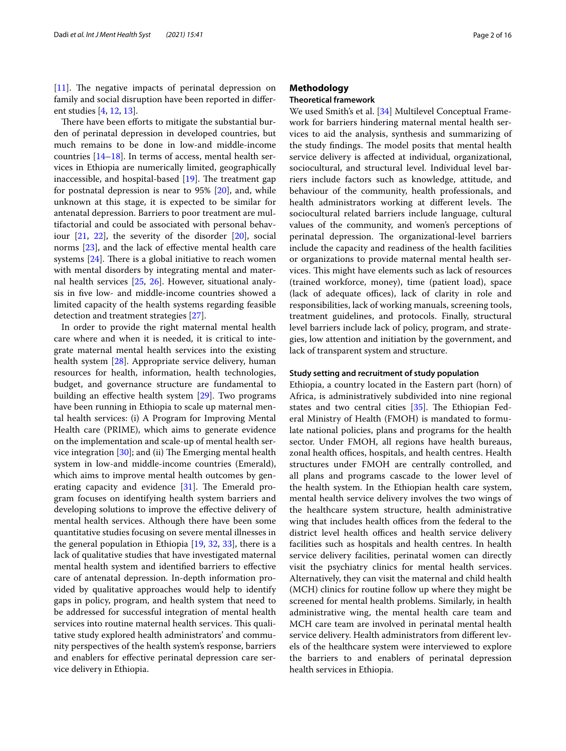$[11]$  $[11]$ . The negative impacts of perinatal depression on family and social disruption have been reported in diferent studies [\[4](#page-12-3), [12](#page-13-6), [13\]](#page-13-7).

There have been efforts to mitigate the substantial burden of perinatal depression in developed countries, but much remains to be done in low-and middle-income countries  $[14–18]$  $[14–18]$ . In terms of access, mental health services in Ethiopia are numerically limited, geographically inaccessible, and hospital-based  $[19]$  $[19]$ . The treatment gap for postnatal depression is near to 95% [[20](#page-13-11)], and, while unknown at this stage, it is expected to be similar for antenatal depression. Barriers to poor treatment are multifactorial and could be associated with personal behaviour [[21,](#page-13-12) [22\]](#page-13-13), the severity of the disorder [\[20\]](#page-13-11), social norms [[23\]](#page-13-14), and the lack of efective mental health care systems  $[24]$  $[24]$ . There is a global initiative to reach women with mental disorders by integrating mental and maternal health services [[25](#page-13-16), [26](#page-13-17)]. However, situational analysis in fve low- and middle-income countries showed a limited capacity of the health systems regarding feasible detection and treatment strategies [[27\]](#page-13-18).

In order to provide the right maternal mental health care where and when it is needed, it is critical to integrate maternal mental health services into the existing health system [\[28](#page-13-19)]. Appropriate service delivery, human resources for health, information, health technologies, budget, and governance structure are fundamental to building an efective health system [\[29](#page-13-20)]. Two programs have been running in Ethiopia to scale up maternal mental health services: (i) A Program for Improving Mental Health care (PRIME), which aims to generate evidence on the implementation and scale-up of mental health service integration  $[30]$  $[30]$ ; and (ii) The Emerging mental health system in low-and middle-income countries (Emerald), which aims to improve mental health outcomes by generating capacity and evidence  $[31]$ . The Emerald program focuses on identifying health system barriers and developing solutions to improve the efective delivery of mental health services. Although there have been some quantitative studies focusing on severe mental illnesses in the general population in Ethiopia [\[19](#page-13-10), [32](#page-13-23), [33](#page-13-24)], there is a lack of qualitative studies that have investigated maternal mental health system and identifed barriers to efective care of antenatal depression. In-depth information provided by qualitative approaches would help to identify gaps in policy, program, and health system that need to be addressed for successful integration of mental health services into routine maternal health services. This qualitative study explored health administrators' and community perspectives of the health system's response, barriers and enablers for efective perinatal depression care service delivery in Ethiopia.

# **Methodology**

# **Theoretical framework**

We used Smith's et al. [[34\]](#page-13-25) Multilevel Conceptual Framework for barriers hindering maternal mental health services to aid the analysis, synthesis and summarizing of the study findings. The model posits that mental health service delivery is afected at individual, organizational, sociocultural, and structural level. Individual level barriers include factors such as knowledge, attitude, and behaviour of the community, health professionals, and health administrators working at different levels. The sociocultural related barriers include language, cultural values of the community, and women's perceptions of perinatal depression. The organizational-level barriers include the capacity and readiness of the health facilities or organizations to provide maternal mental health services. This might have elements such as lack of resources (trained workforce, money), time (patient load), space (lack of adequate offices), lack of clarity in role and responsibilities, lack of working manuals, screening tools, treatment guidelines, and protocols. Finally, structural level barriers include lack of policy, program, and strategies, low attention and initiation by the government, and lack of transparent system and structure.

#### **Study setting and recruitment of study population**

Ethiopia, a country located in the Eastern part (horn) of Africa, is administratively subdivided into nine regional states and two central cities  $[35]$  $[35]$ . The Ethiopian Federal Ministry of Health (FMOH) is mandated to formulate national policies, plans and programs for the health sector. Under FMOH, all regions have health bureaus, zonal health offices, hospitals, and health centres. Health structures under FMOH are centrally controlled, and all plans and programs cascade to the lower level of the health system. In the Ethiopian health care system, mental health service delivery involves the two wings of the healthcare system structure, health administrative wing that includes health offices from the federal to the district level health offices and health service delivery facilities such as hospitals and health centres. In health service delivery facilities, perinatal women can directly visit the psychiatry clinics for mental health services. Alternatively, they can visit the maternal and child health (MCH) clinics for routine follow up where they might be screened for mental health problems. Similarly, in health administrative wing, the mental health care team and MCH care team are involved in perinatal mental health service delivery. Health administrators from diferent levels of the healthcare system were interviewed to explore the barriers to and enablers of perinatal depression health services in Ethiopia.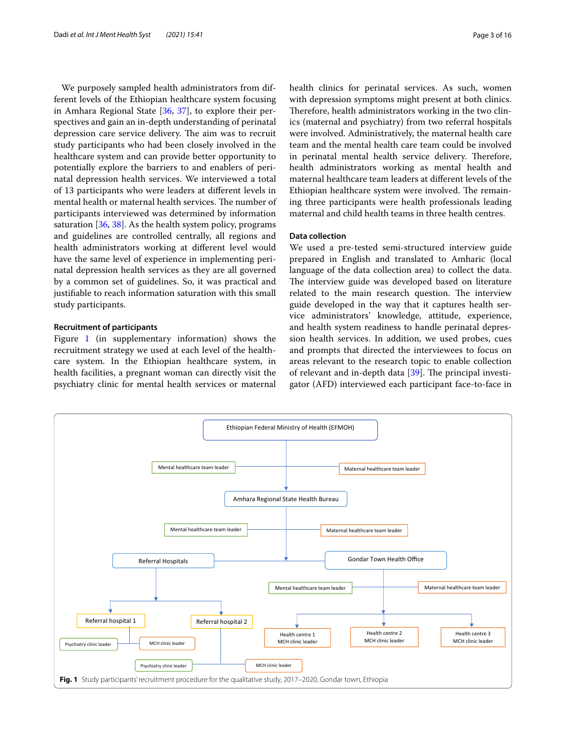We purposely sampled health administrators from different levels of the Ethiopian healthcare system focusing in Amhara Regional State [\[36,](#page-13-27) [37](#page-13-28)], to explore their perspectives and gain an in-depth understanding of perinatal depression care service delivery. The aim was to recruit study participants who had been closely involved in the healthcare system and can provide better opportunity to potentially explore the barriers to and enablers of perinatal depression health services. We interviewed a total of 13 participants who were leaders at diferent levels in mental health or maternal health services. The number of participants interviewed was determined by information saturation  $[36, 38]$  $[36, 38]$  $[36, 38]$  $[36, 38]$ . As the health system policy, programs and guidelines are controlled centrally, all regions and health administrators working at diferent level would have the same level of experience in implementing perinatal depression health services as they are all governed by a common set of guidelines. So, it was practical and justifable to reach information saturation with this small study participants.

# **Recruitment of participants**

Figure [1](#page-2-0) (in supplementary information) shows the recruitment strategy we used at each level of the healthcare system. In the Ethiopian healthcare system, in health facilities, a pregnant woman can directly visit the psychiatry clinic for mental health services or maternal health clinics for perinatal services. As such, women with depression symptoms might present at both clinics. Therefore, health administrators working in the two clinics (maternal and psychiatry) from two referral hospitals were involved. Administratively, the maternal health care team and the mental health care team could be involved in perinatal mental health service delivery. Therefore, health administrators working as mental health and maternal healthcare team leaders at diferent levels of the Ethiopian healthcare system were involved. The remaining three participants were health professionals leading maternal and child health teams in three health centres.

# **Data collection**

We used a pre-tested semi-structured interview guide prepared in English and translated to Amharic (local language of the data collection area) to collect the data. The interview guide was developed based on literature related to the main research question. The interview guide developed in the way that it captures health service administrators' knowledge, attitude, experience, and health system readiness to handle perinatal depression health services. In addition, we used probes, cues and prompts that directed the interviewees to focus on areas relevant to the research topic to enable collection of relevant and in-depth data  $[39]$  $[39]$ . The principal investigator (AFD) interviewed each participant face-to-face in

<span id="page-2-0"></span>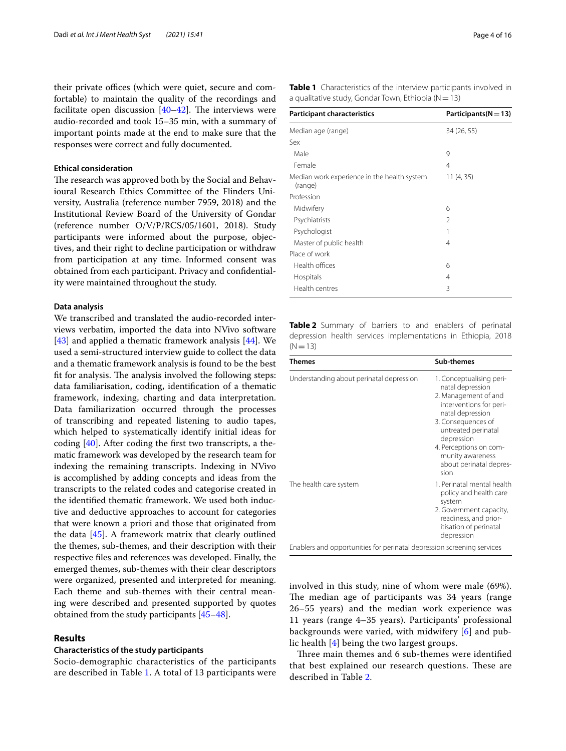their private offices (which were quiet, secure and comfortable) to maintain the quality of the recordings and facilitate open discussion  $[40-42]$  $[40-42]$ . The interviews were audio-recorded and took 15–35 min, with a summary of important points made at the end to make sure that the responses were correct and fully documented.

#### **Ethical consideration**

The research was approved both by the Social and Behavioural Research Ethics Committee of the Flinders University, Australia (reference number 7959, 2018) and the Institutional Review Board of the University of Gondar (reference number O/V/P/RCS/05/1601, 2018). Study participants were informed about the purpose, objectives, and their right to decline participation or withdraw from participation at any time. Informed consent was obtained from each participant. Privacy and confdentiality were maintained throughout the study.

#### **Data analysis**

We transcribed and translated the audio-recorded interviews verbatim, imported the data into NVivo software [[43\]](#page-13-33) and applied a thematic framework analysis [[44](#page-13-34)]. We used a semi-structured interview guide to collect the data and a thematic framework analysis is found to be the best fit for analysis. The analysis involved the following steps: data familiarisation, coding, identifcation of a thematic framework, indexing, charting and data interpretation. Data familiarization occurred through the processes of transcribing and repeated listening to audio tapes, which helped to systematically identify initial ideas for coding [[40](#page-13-31)]. After coding the frst two transcripts, a thematic framework was developed by the research team for indexing the remaining transcripts. Indexing in NVivo is accomplished by adding concepts and ideas from the transcripts to the related codes and categorise created in the identifed thematic framework. We used both inductive and deductive approaches to account for categories that were known a priori and those that originated from the data [[45](#page-13-35)]. A framework matrix that clearly outlined the themes, sub-themes, and their description with their respective fles and references was developed. Finally, the emerged themes, sub-themes with their clear descriptors were organized, presented and interpreted for meaning. Each theme and sub-themes with their central meaning were described and presented supported by quotes obtained from the study participants [[45](#page-13-35)[–48](#page-13-36)].

## **Results**

#### **Characteristics of the study participants**

Socio-demographic characteristics of the participants are described in Table [1](#page-3-0). A total of 13 participants were <span id="page-3-0"></span>**Table 1** Characteristics of the interview participants involved in a qualitative study, Gondar Town, Ethiopia ( $N=13$ )

| <b>Participant characteristics</b>                     | Participants( $N = 13$ ) |
|--------------------------------------------------------|--------------------------|
| Median age (range)                                     | 34 (26, 55)              |
| Sex                                                    |                          |
| Male                                                   | 9                        |
| Female                                                 | 4                        |
| Median work experience in the health system<br>(range) | 11(4, 35)                |
| Profession                                             |                          |
| Midwifery                                              | 6                        |
| Psychiatrists                                          | $\mathcal{P}$            |
| Psychologist                                           | 1                        |
| Master of public health                                | 4                        |
| Place of work                                          |                          |
| Health offices                                         | 6                        |
| Hospitals                                              | 4                        |
| Health centres                                         | 3                        |

<span id="page-3-1"></span>**Table 2** Summary of barriers to and enablers of perinatal depression health services implementations in Ethiopia, 2018  $(N=13)$ 

| <b>Themes</b>                                                          | Sub-themes                                                                                                                                                                                                                                                      |
|------------------------------------------------------------------------|-----------------------------------------------------------------------------------------------------------------------------------------------------------------------------------------------------------------------------------------------------------------|
| Understanding about perinatal depression                               | 1. Conceptualising peri-<br>natal depression<br>2. Management of and<br>interventions for peri-<br>natal depression<br>3. Consequences of<br>untreated perinatal<br>depression<br>4. Perceptions on com-<br>munity awareness<br>about perinatal depres-<br>sion |
| The health care system                                                 | 1. Perinatal mental health<br>policy and health care<br>system<br>2. Government capacity,<br>readiness, and prior-<br>itisation of perinatal<br>depression                                                                                                      |
| Enablers and opportunities for perinatal depression screening services |                                                                                                                                                                                                                                                                 |

involved in this study, nine of whom were male (69%). The median age of participants was 34 years (range 26–55 years) and the median work experience was 11 years (range 4–35 years). Participants' professional backgrounds were varied, with midwifery [\[6\]](#page-13-0) and public health [\[4](#page-12-3)] being the two largest groups.

Three main themes and 6 sub-themes were identified that best explained our research questions. These are described in Table [2](#page-3-1).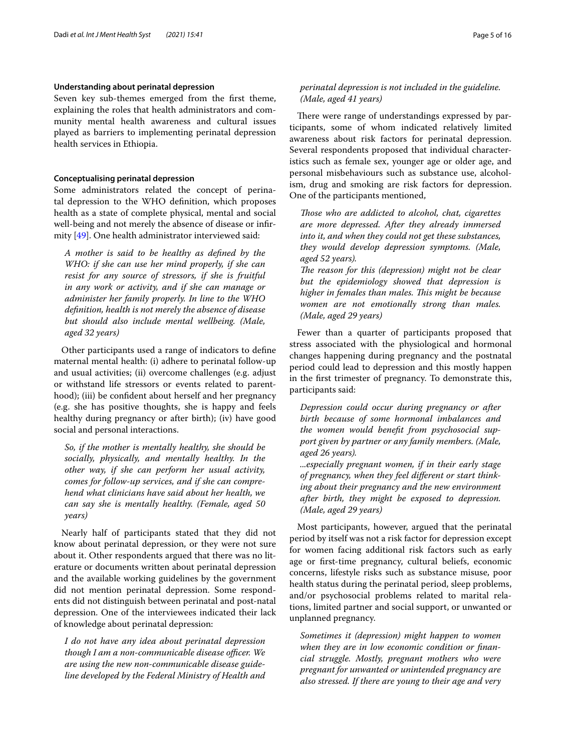#### **Understanding about perinatal depression**

Seven key sub-themes emerged from the frst theme, explaining the roles that health administrators and community mental health awareness and cultural issues played as barriers to implementing perinatal depression health services in Ethiopia.

#### **Conceptualising perinatal depression**

Some administrators related the concept of perinatal depression to the WHO defnition, which proposes health as a state of complete physical, mental and social well-being and not merely the absence of disease or infrmity [[49\]](#page-13-37). One health administrator interviewed said:

*A mother is said to be healthy as defned by the WHO: if she can use her mind properly, if she can resist for any source of stressors, if she is fruitful in any work or activity, and if she can manage or administer her family properly. In line to the WHO defnition, health is not merely the absence of disease but should also include mental wellbeing. (Male, aged 32 years)*

Other participants used a range of indicators to defne maternal mental health: (i) adhere to perinatal follow-up and usual activities; (ii) overcome challenges (e.g. adjust or withstand life stressors or events related to parenthood); (iii) be confident about herself and her pregnancy (e.g. she has positive thoughts, she is happy and feels healthy during pregnancy or after birth); (iv) have good social and personal interactions.

*So, if the mother is mentally healthy, she should be socially, physically, and mentally healthy. In the other way, if she can perform her usual activity, comes for follow-up services, and if she can comprehend what clinicians have said about her health, we can say she is mentally healthy. (Female, aged 50 years)*

Nearly half of participants stated that they did not know about perinatal depression, or they were not sure about it. Other respondents argued that there was no literature or documents written about perinatal depression and the available working guidelines by the government did not mention perinatal depression. Some respondents did not distinguish between perinatal and post-natal depression. One of the interviewees indicated their lack of knowledge about perinatal depression:

*I do not have any idea about perinatal depression though I am a non-communicable disease officer. We are using the new non-communicable disease guideline developed by the Federal Ministry of Health and* 

# *perinatal depression is not included in the guideline. (Male, aged 41 years)*

There were range of understandings expressed by participants, some of whom indicated relatively limited awareness about risk factors for perinatal depression. Several respondents proposed that individual characteristics such as female sex, younger age or older age, and personal misbehaviours such as substance use, alcoholism, drug and smoking are risk factors for depression. One of the participants mentioned,

*Tose who are addicted to alcohol, chat, cigarettes are more depressed. After they already immersed into it, and when they could not get these substances, they would develop depression symptoms. (Male, aged 52 years).*

*The reason for this (depression) might not be clear but the epidemiology showed that depression is higher in females than males. This might be because women are not emotionally strong than males. (Male, aged 29 years)*

Fewer than a quarter of participants proposed that stress associated with the physiological and hormonal changes happening during pregnancy and the postnatal period could lead to depression and this mostly happen in the frst trimester of pregnancy. To demonstrate this, participants said:

*Depression could occur during pregnancy or after birth because of some hormonal imbalances and the women would beneft from psychosocial support given by partner or any family members. (Male, aged 26 years).*

*...especially pregnant women, if in their early stage of pregnancy, when they feel diferent or start thinking about their pregnancy and the new environment after birth, they might be exposed to depression. (Male, aged 29 years)*

Most participants, however, argued that the perinatal period by itself was not a risk factor for depression except for women facing additional risk factors such as early age or frst-time pregnancy, cultural beliefs, economic concerns, lifestyle risks such as substance misuse, poor health status during the perinatal period, sleep problems, and/or psychosocial problems related to marital relations, limited partner and social support, or unwanted or unplanned pregnancy.

*Sometimes it (depression) might happen to women when they are in low economic condition or fnancial struggle. Mostly, pregnant mothers who were pregnant for unwanted or unintended pregnancy are also stressed. If there are young to their age and very*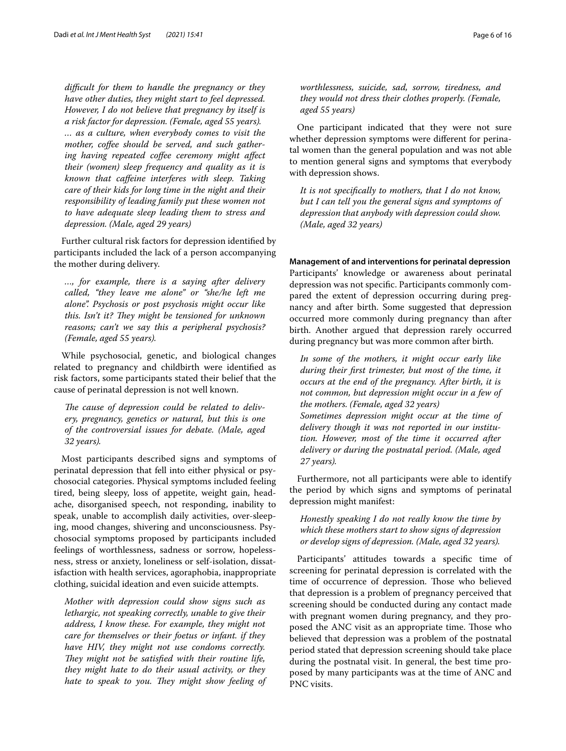*difcult for them to handle the pregnancy or they have other duties, they might start to feel depressed. However, I do not believe that pregnancy by itself is a risk factor for depression. (Female, aged 55 years). … as a culture, when everybody comes to visit the mother, cofee should be served, and such gathering having repeated cofee ceremony might afect their (women) sleep frequency and quality as it is known that cafeine interferes with sleep. Taking care of their kids for long time in the night and their responsibility of leading family put these women not to have adequate sleep leading them to stress and depression. (Male, aged 29 years)*

Further cultural risk factors for depression identifed by participants included the lack of a person accompanying the mother during delivery.

*…, for example, there is a saying after delivery called, "they leave me alone" or "she/he left me alone". Psychosis or post psychosis might occur like*  this. Isn't it? They might be tensioned for unknown *reasons; can't we say this a peripheral psychosis? (Female, aged 55 years).*

While psychosocial, genetic, and biological changes related to pregnancy and childbirth were identifed as risk factors, some participants stated their belief that the cause of perinatal depression is not well known.

The cause of depression could be related to deliv*ery, pregnancy, genetics or natural, but this is one of the controversial issues for debate. (Male, aged 32 years).*

Most participants described signs and symptoms of perinatal depression that fell into either physical or psychosocial categories. Physical symptoms included feeling tired, being sleepy, loss of appetite, weight gain, headache, disorganised speech, not responding, inability to speak, unable to accomplish daily activities, over-sleeping, mood changes, shivering and unconsciousness. Psychosocial symptoms proposed by participants included feelings of worthlessness, sadness or sorrow, hopelessness, stress or anxiety, loneliness or self-isolation, dissatisfaction with health services, agoraphobia, inappropriate clothing, suicidal ideation and even suicide attempts.

*Mother with depression could show signs such as lethargic, not speaking correctly, unable to give their address, I know these. For example, they might not care for themselves or their foetus or infant. if they have HIV, they might not use condoms correctly. They might not be satisfied with their routine life, they might hate to do their usual activity, or they hate to speak to you. They might show feeling of*  *worthlessness, suicide, sad, sorrow, tiredness, and they would not dress their clothes properly. (Female, aged 55 years)*

One participant indicated that they were not sure whether depression symptoms were diferent for perinatal women than the general population and was not able to mention general signs and symptoms that everybody with depression shows.

*It is not specifcally to mothers, that I do not know, but I can tell you the general signs and symptoms of depression that anybody with depression could show. (Male, aged 32 years)*

**Management of and interventions for perinatal depression** Participants' knowledge or awareness about perinatal depression was not specifc. Participants commonly compared the extent of depression occurring during pregnancy and after birth. Some suggested that depression occurred more commonly during pregnancy than after birth. Another argued that depression rarely occurred during pregnancy but was more common after birth.

*In some of the mothers, it might occur early like during their frst trimester, but most of the time, it occurs at the end of the pregnancy. After birth, it is not common, but depression might occur in a few of the mothers. (Female, aged 32 years) Sometimes depression might occur at the time of delivery though it was not reported in our institution. However, most of the time it occurred after delivery or during the postnatal period. (Male, aged 27 years).*

Furthermore, not all participants were able to identify the period by which signs and symptoms of perinatal depression might manifest:

*Honestly speaking I do not really know the time by which these mothers start to show signs of depression or develop signs of depression. (Male, aged 32 years).*

Participants' attitudes towards a specifc time of screening for perinatal depression is correlated with the time of occurrence of depression. Those who believed that depression is a problem of pregnancy perceived that screening should be conducted during any contact made with pregnant women during pregnancy, and they proposed the ANC visit as an appropriate time. Those who believed that depression was a problem of the postnatal period stated that depression screening should take place during the postnatal visit. In general, the best time proposed by many participants was at the time of ANC and PNC visits.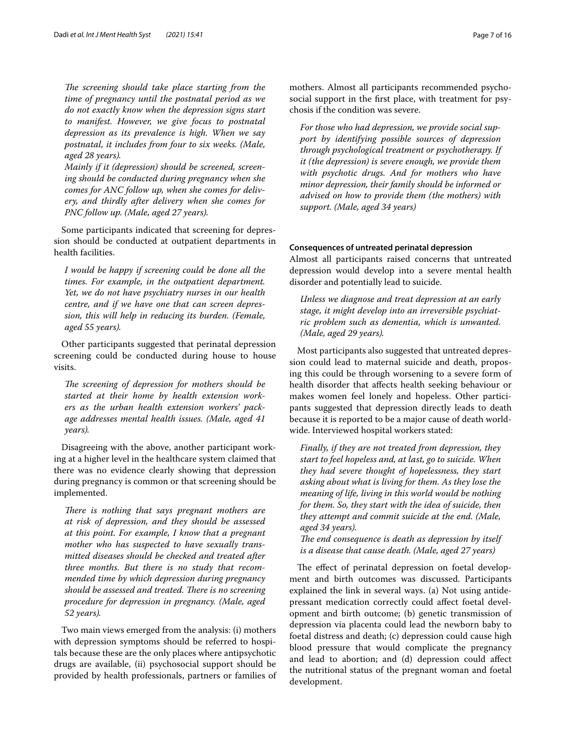The screening should take place starting from the *time of pregnancy until the postnatal period as we do not exactly know when the depression signs start to manifest. However, we give focus to postnatal depression as its prevalence is high. When we say postnatal, it includes from four to six weeks. (Male, aged 28 years).*

*Mainly if it (depression) should be screened, screening should be conducted during pregnancy when she comes for ANC follow up, when she comes for delivery, and thirdly after delivery when she comes for PNC follow up. (Male, aged 27 years).*

Some participants indicated that screening for depression should be conducted at outpatient departments in health facilities.

*I would be happy if screening could be done all the times. For example, in the outpatient department. Yet, we do not have psychiatry nurses in our health centre, and if we have one that can screen depression, this will help in reducing its burden. (Female, aged 55 years).*

Other participants suggested that perinatal depression screening could be conducted during house to house visits.

The screening of depression for mothers should be *started at their home by health extension workers as the urban health extension workers' package addresses mental health issues. (Male, aged 41 years).*

Disagreeing with the above, another participant working at a higher level in the healthcare system claimed that there was no evidence clearly showing that depression during pregnancy is common or that screening should be implemented.

*There is nothing that says pregnant mothers are at risk of depression, and they should be assessed at this point. For example, I know that a pregnant mother who has suspected to have sexually transmitted diseases should be checked and treated after three months. But there is no study that recommended time by which depression during pregnancy should be assessed and treated. There is no screening procedure for depression in pregnancy. (Male, aged 52 years).*

Two main views emerged from the analysis: (i) mothers with depression symptoms should be referred to hospitals because these are the only places where antipsychotic drugs are available, (ii) psychosocial support should be provided by health professionals, partners or families of mothers. Almost all participants recommended psychosocial support in the frst place, with treatment for psychosis if the condition was severe.

*For those who had depression, we provide social support by identifying possible sources of depression through psychological treatment or psychotherapy. If it (the depression) is severe enough, we provide them with psychotic drugs. And for mothers who have minor depression, their family should be informed or advised on how to provide them (the mothers) with support. (Male, aged 34 years)*

# **Consequences of untreated perinatal depression**

Almost all participants raised concerns that untreated depression would develop into a severe mental health disorder and potentially lead to suicide.

*Unless we diagnose and treat depression at an early stage, it might develop into an irreversible psychiatric problem such as dementia, which is unwanted. (Male, aged 29 years).*

Most participants also suggested that untreated depression could lead to maternal suicide and death, proposing this could be through worsening to a severe form of health disorder that afects health seeking behaviour or makes women feel lonely and hopeless. Other participants suggested that depression directly leads to death because it is reported to be a major cause of death worldwide. Interviewed hospital workers stated:

*Finally, if they are not treated from depression, they start to feel hopeless and, at last, go to suicide. When they had severe thought of hopelessness, they start asking about what is living for them. As they lose the meaning of life, living in this world would be nothing for them. So, they start with the idea of suicide, then they attempt and commit suicide at the end. (Male, aged 34 years).*

The end consequence is death as depression by itself *is a disease that cause death. (Male, aged 27 years)*

The effect of perinatal depression on foetal development and birth outcomes was discussed. Participants explained the link in several ways. (a) Not using antidepressant medication correctly could afect foetal development and birth outcome; (b) genetic transmission of depression via placenta could lead the newborn baby to foetal distress and death; (c) depression could cause high blood pressure that would complicate the pregnancy and lead to abortion; and (d) depression could afect the nutritional status of the pregnant woman and foetal development.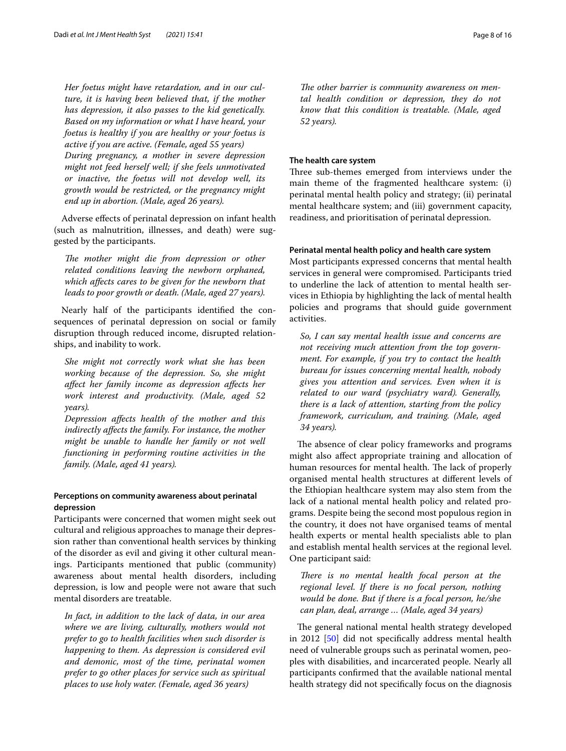*Her foetus might have retardation, and in our culture, it is having been believed that, if the mother has depression, it also passes to the kid genetically. Based on my information or what I have heard, your foetus is healthy if you are healthy or your foetus is active if you are active. (Female, aged 55 years) During pregnancy, a mother in severe depression might not feed herself well; if she feels unmotivated or inactive, the foetus will not develop well, its growth would be restricted, or the pregnancy might end up in abortion. (Male, aged 26 years).*

Adverse efects of perinatal depression on infant health (such as malnutrition, illnesses, and death) were suggested by the participants.

The mother might die from depression or other *related conditions leaving the newborn orphaned, which afects cares to be given for the newborn that leads to poor growth or death. (Male, aged 27 years).*

Nearly half of the participants identifed the consequences of perinatal depression on social or family disruption through reduced income, disrupted relationships, and inability to work.

*She might not correctly work what she has been working because of the depression. So, she might afect her family income as depression afects her work interest and productivity. (Male, aged 52 years).*

*Depression afects health of the mother and this indirectly afects the family. For instance, the mother might be unable to handle her family or not well functioning in performing routine activities in the family. (Male, aged 41 years).*

# **Perceptions on community awareness about perinatal depression**

Participants were concerned that women might seek out cultural and religious approaches to manage their depression rather than conventional health services by thinking of the disorder as evil and giving it other cultural meanings. Participants mentioned that public (community) awareness about mental health disorders, including depression, is low and people were not aware that such mental disorders are treatable.

*In fact, in addition to the lack of data, in our area where we are living, culturally, mothers would not prefer to go to health facilities when such disorder is happening to them. As depression is considered evil and demonic, most of the time, perinatal women prefer to go other places for service such as spiritual places to use holy water. (Female, aged 36 years)*

The other barrier is community awareness on men*tal health condition or depression, they do not know that this condition is treatable. (Male, aged 52 years).*

# **The health care system**

Three sub-themes emerged from interviews under the main theme of the fragmented healthcare system: (i) perinatal mental health policy and strategy; (ii) perinatal mental healthcare system; and (iii) government capacity, readiness, and prioritisation of perinatal depression.

## **Perinatal mental health policy and health care system**

Most participants expressed concerns that mental health services in general were compromised. Participants tried to underline the lack of attention to mental health services in Ethiopia by highlighting the lack of mental health policies and programs that should guide government activities.

*So, I can say mental health issue and concerns are not receiving much attention from the top government. For example, if you try to contact the health bureau for issues concerning mental health, nobody gives you attention and services. Even when it is related to our ward (psychiatry ward). Generally, there is a lack of attention, starting from the policy framework, curriculum, and training. (Male, aged 34 years).*

The absence of clear policy frameworks and programs might also afect appropriate training and allocation of human resources for mental health. The lack of properly organised mental health structures at diferent levels of the Ethiopian healthcare system may also stem from the lack of a national mental health policy and related programs. Despite being the second most populous region in the country, it does not have organised teams of mental health experts or mental health specialists able to plan and establish mental health services at the regional level. One participant said:

*There is no mental health focal person at the regional level. If there is no focal person, nothing would be done. But if there is a focal person, he/she can plan, deal, arrange … (Male, aged 34 years)*

The general national mental health strategy developed in 2012 [[50\]](#page-13-38) did not specifcally address mental health need of vulnerable groups such as perinatal women, peoples with disabilities, and incarcerated people. Nearly all participants confrmed that the available national mental health strategy did not specifcally focus on the diagnosis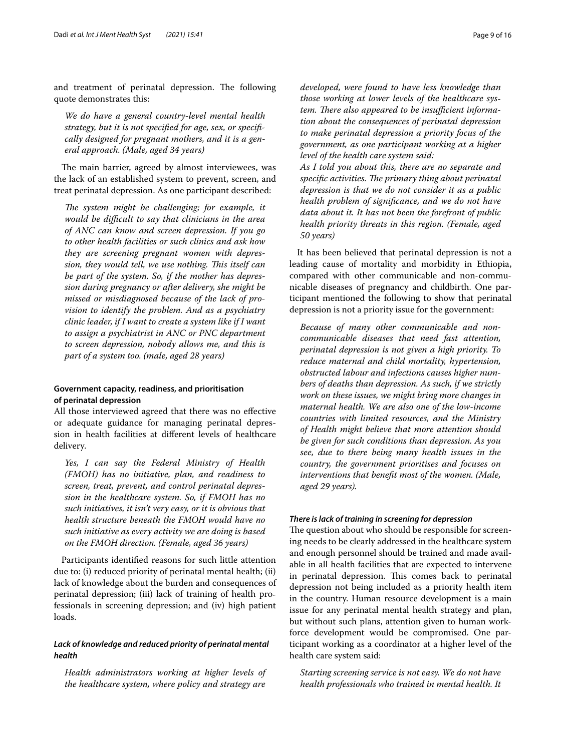and treatment of perinatal depression. The following quote demonstrates this:

*We do have a general country-level mental health strategy, but it is not specifed for age, sex, or specifcally designed for pregnant mothers, and it is a general approach. (Male, aged 34 years)*

The main barrier, agreed by almost interviewees, was the lack of an established system to prevent, screen, and treat perinatal depression. As one participant described:

The system might be challenging; for example, it *would be difcult to say that clinicians in the area of ANC can know and screen depression. If you go to other health facilities or such clinics and ask how they are screening pregnant women with depression, they would tell, we use nothing. Tis itself can be part of the system. So, if the mother has depression during pregnancy or after delivery, she might be missed or misdiagnosed because of the lack of provision to identify the problem. And as a psychiatry clinic leader, if I want to create a system like if I want to assign a psychiatrist in ANC or PNC department to screen depression, nobody allows me, and this is part of a system too. (male, aged 28 years)*

# **Government capacity, readiness, and prioritisation of perinatal depression**

All those interviewed agreed that there was no efective or adequate guidance for managing perinatal depression in health facilities at diferent levels of healthcare delivery.

*Yes, I can say the Federal Ministry of Health (FMOH) has no initiative, plan, and readiness to screen, treat, prevent, and control perinatal depression in the healthcare system. So, if FMOH has no such initiatives, it isn't very easy, or it is obvious that health structure beneath the FMOH would have no such initiative as every activity we are doing is based on the FMOH direction. (Female, aged 36 years)*

Participants identifed reasons for such little attention due to: (i) reduced priority of perinatal mental health; (ii) lack of knowledge about the burden and consequences of perinatal depression; (iii) lack of training of health professionals in screening depression; and (iv) high patient loads.

# *Lack of knowledge and reduced priority of perinatal mental health*

*Health administrators working at higher levels of the healthcare system, where policy and strategy are* 

*developed, were found to have less knowledge than those working at lower levels of the healthcare sys*tem. There also appeared to be *insufficient information about the consequences of perinatal depression to make perinatal depression a priority focus of the government, as one participant working at a higher level of the health care system said:*

*As I told you about this, there are no separate and*  specific activities. The primary thing about perinatal *depression is that we do not consider it as a public health problem of signifcance, and we do not have data about it. It has not been the forefront of public health priority threats in this region. (Female, aged 50 years)*

It has been believed that perinatal depression is not a leading cause of mortality and morbidity in Ethiopia, compared with other communicable and non-communicable diseases of pregnancy and childbirth. One participant mentioned the following to show that perinatal depression is not a priority issue for the government:

*Because of many other communicable and noncommunicable diseases that need fast attention, perinatal depression is not given a high priority. To reduce maternal and child mortality, hypertension, obstructed labour and infections causes higher numbers of deaths than depression. As such, if we strictly work on these issues, we might bring more changes in maternal health. We are also one of the low-income countries with limited resources, and the Ministry of Health might believe that more attention should be given for such conditions than depression. As you see, due to there being many health issues in the country, the government prioritises and focuses on interventions that beneft most of the women. (Male, aged 29 years).*

# *There is lack of training in screening for depression*

The question about who should be responsible for screening needs to be clearly addressed in the healthcare system and enough personnel should be trained and made available in all health facilities that are expected to intervene in perinatal depression. This comes back to perinatal depression not being included as a priority health item in the country. Human resource development is a main issue for any perinatal mental health strategy and plan, but without such plans, attention given to human workforce development would be compromised. One participant working as a coordinator at a higher level of the health care system said:

*Starting screening service is not easy. We do not have health professionals who trained in mental health. It*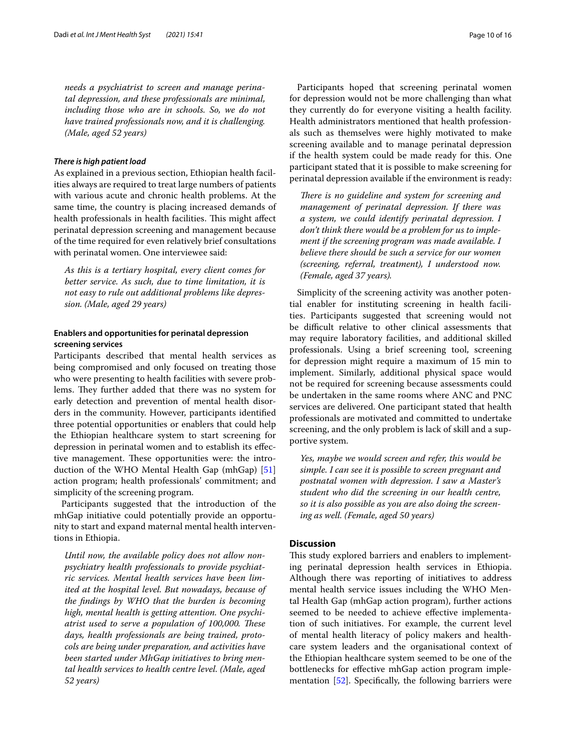*needs a psychiatrist to screen and manage perinatal depression, and these professionals are minimal, including those who are in schools. So, we do not have trained professionals now, and it is challenging. (Male, aged 52 years)*

#### *There is high patient load*

As explained in a previous section, Ethiopian health facilities always are required to treat large numbers of patients with various acute and chronic health problems. At the same time, the country is placing increased demands of health professionals in health facilities. This might affect perinatal depression screening and management because of the time required for even relatively brief consultations with perinatal women. One interviewee said:

*As this is a tertiary hospital, every client comes for better service. As such, due to time limitation, it is not easy to rule out additional problems like depression. (Male, aged 29 years)*

# **Enablers and opportunities for perinatal depression screening services**

Participants described that mental health services as being compromised and only focused on treating those who were presenting to health facilities with severe problems. They further added that there was no system for early detection and prevention of mental health disorders in the community. However, participants identifed three potential opportunities or enablers that could help the Ethiopian healthcare system to start screening for depression in perinatal women and to establish its efective management. These opportunities were: the introduction of the WHO Mental Health Gap (mhGap) [[51](#page-13-39)] action program; health professionals' commitment; and simplicity of the screening program.

Participants suggested that the introduction of the mhGap initiative could potentially provide an opportunity to start and expand maternal mental health interventions in Ethiopia.

*Until now, the available policy does not allow nonpsychiatry health professionals to provide psychiatric services. Mental health services have been limited at the hospital level. But nowadays, because of the fndings by WHO that the burden is becoming high, mental health is getting attention. One psychiatrist used to serve a population of 100,000. These days, health professionals are being trained, protocols are being under preparation, and activities have been started under MhGap initiatives to bring mental health services to health centre level. (Male, aged 52 years)*

Participants hoped that screening perinatal women for depression would not be more challenging than what they currently do for everyone visiting a health facility. Health administrators mentioned that health professionals such as themselves were highly motivated to make screening available and to manage perinatal depression if the health system could be made ready for this. One participant stated that it is possible to make screening for perinatal depression available if the environment is ready:

There is no guideline and system for screening and *management of perinatal depression. If there was a system, we could identify perinatal depression. I don't think there would be a problem for us to implement if the screening program was made available. I believe there should be such a service for our women (screening, referral, treatment), I understood now. (Female, aged 37 years).*

Simplicity of the screening activity was another potential enabler for instituting screening in health facilities. Participants suggested that screening would not be difficult relative to other clinical assessments that may require laboratory facilities, and additional skilled professionals. Using a brief screening tool, screening for depression might require a maximum of 15 min to implement. Similarly, additional physical space would not be required for screening because assessments could be undertaken in the same rooms where ANC and PNC services are delivered. One participant stated that health professionals are motivated and committed to undertake screening, and the only problem is lack of skill and a supportive system.

*Yes, maybe we would screen and refer, this would be simple. I can see it is possible to screen pregnant and postnatal women with depression. I saw a Master's student who did the screening in our health centre, so it is also possible as you are also doing the screening as well. (Female, aged 50 years)*

# **Discussion**

This study explored barriers and enablers to implementing perinatal depression health services in Ethiopia. Although there was reporting of initiatives to address mental health service issues including the WHO Mental Health Gap (mhGap action program), further actions seemed to be needed to achieve efective implementation of such initiatives. For example, the current level of mental health literacy of policy makers and healthcare system leaders and the organisational context of the Ethiopian healthcare system seemed to be one of the bottlenecks for efective mhGap action program implementation [[52\]](#page-13-40). Specifcally, the following barriers were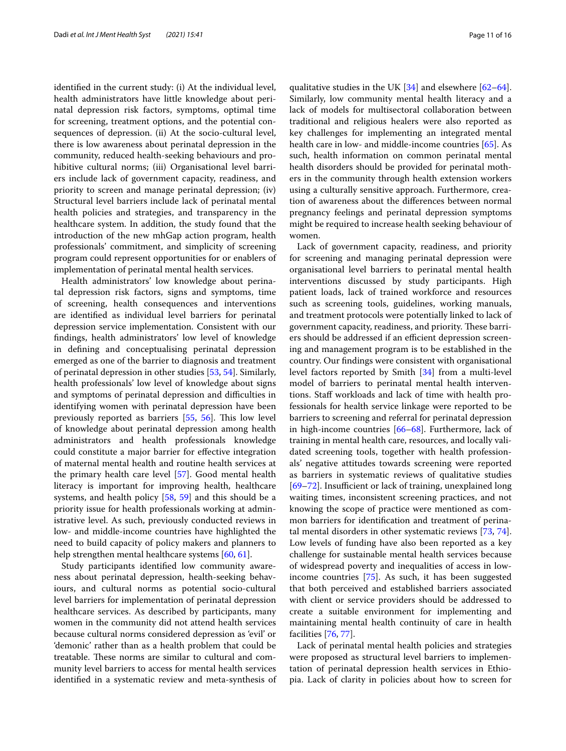identifed in the current study: (i) At the individual level, health administrators have little knowledge about perinatal depression risk factors, symptoms, optimal time for screening, treatment options, and the potential consequences of depression. (ii) At the socio-cultural level, there is low awareness about perinatal depression in the community, reduced health-seeking behaviours and prohibitive cultural norms; (iii) Organisational level barriers include lack of government capacity, readiness, and priority to screen and manage perinatal depression; (iv) Structural level barriers include lack of perinatal mental health policies and strategies, and transparency in the healthcare system. In addition, the study found that the introduction of the new mhGap action program, health professionals' commitment, and simplicity of screening program could represent opportunities for or enablers of implementation of perinatal mental health services.

Health administrators' low knowledge about perinatal depression risk factors, signs and symptoms, time of screening, health consequences and interventions are identifed as individual level barriers for perinatal depression service implementation. Consistent with our fndings, health administrators' low level of knowledge in defning and conceptualising perinatal depression emerged as one of the barrier to diagnosis and treatment of perinatal depression in other studies [[53](#page-14-0), [54\]](#page-14-1). Similarly, health professionals' low level of knowledge about signs and symptoms of perinatal depression and difficulties in identifying women with perinatal depression have been previously reported as barriers  $[55, 56]$  $[55, 56]$  $[55, 56]$  $[55, 56]$ . This low level of knowledge about perinatal depression among health administrators and health professionals knowledge could constitute a major barrier for efective integration of maternal mental health and routine health services at the primary health care level [[57](#page-14-4)]. Good mental health literacy is important for improving health, healthcare systems, and health policy [\[58](#page-14-5), [59\]](#page-14-6) and this should be a priority issue for health professionals working at administrative level. As such, previously conducted reviews in low- and middle-income countries have highlighted the need to build capacity of policy makers and planners to help strengthen mental healthcare systems [[60,](#page-14-7) [61](#page-14-8)].

Study participants identifed low community awareness about perinatal depression, health-seeking behaviours, and cultural norms as potential socio-cultural level barriers for implementation of perinatal depression healthcare services. As described by participants, many women in the community did not attend health services because cultural norms considered depression as 'evil' or 'demonic' rather than as a health problem that could be treatable. These norms are similar to cultural and community level barriers to access for mental health services identifed in a systematic review and meta-synthesis of qualitative studies in the UK [[34\]](#page-13-25) and elsewhere [[62](#page-14-9)[–64](#page-14-10)]. Similarly, low community mental health literacy and a lack of models for multisectoral collaboration between traditional and religious healers were also reported as key challenges for implementing an integrated mental health care in low- and middle-income countries [[65\]](#page-14-11). As such, health information on common perinatal mental health disorders should be provided for perinatal mothers in the community through health extension workers using a culturally sensitive approach. Furthermore, creation of awareness about the diferences between normal pregnancy feelings and perinatal depression symptoms might be required to increase health seeking behaviour of women.

Lack of government capacity, readiness, and priority for screening and managing perinatal depression were organisational level barriers to perinatal mental health interventions discussed by study participants. High patient loads, lack of trained workforce and resources such as screening tools, guidelines, working manuals, and treatment protocols were potentially linked to lack of government capacity, readiness, and priority. These barriers should be addressed if an efficient depression screening and management program is to be established in the country. Our fndings were consistent with organisational level factors reported by Smith [[34](#page-13-25)] from a multi-level model of barriers to perinatal mental health interventions. Staf workloads and lack of time with health professionals for health service linkage were reported to be barriers to screening and referral for perinatal depression in high-income countries [\[66](#page-14-12)[–68\]](#page-14-13). Furthermore, lack of training in mental health care, resources, and locally validated screening tools, together with health professionals' negative attitudes towards screening were reported as barriers in systematic reviews of qualitative studies [69-[72\]](#page-14-15). Insufficient or lack of training, unexplained long waiting times, inconsistent screening practices, and not knowing the scope of practice were mentioned as common barriers for identifcation and treatment of perinatal mental disorders in other systematic reviews [\[73](#page-14-16), [74](#page-14-17)]. Low levels of funding have also been reported as a key challenge for sustainable mental health services because of widespread poverty and inequalities of access in lowincome countries [\[75](#page-14-18)]. As such, it has been suggested that both perceived and established barriers associated with client or service providers should be addressed to create a suitable environment for implementing and maintaining mental health continuity of care in health facilities [\[76](#page-14-19), [77](#page-14-20)].

Lack of perinatal mental health policies and strategies were proposed as structural level barriers to implementation of perinatal depression health services in Ethiopia. Lack of clarity in policies about how to screen for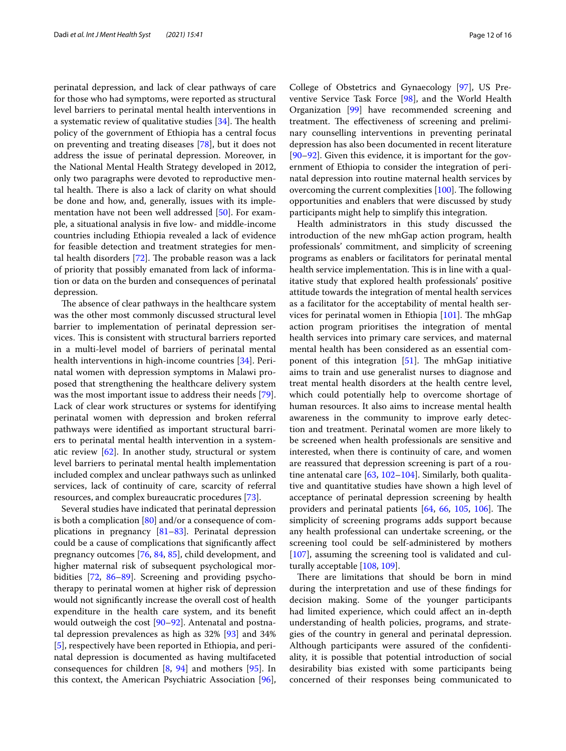perinatal depression, and lack of clear pathways of care for those who had symptoms, were reported as structural level barriers to perinatal mental health interventions in a systematic review of qualitative studies  $[34]$  $[34]$ . The health policy of the government of Ethiopia has a central focus on preventing and treating diseases [\[78](#page-14-21)], but it does not address the issue of perinatal depression. Moreover, in the National Mental Health Strategy developed in 2012, only two paragraphs were devoted to reproductive mental health. There is also a lack of clarity on what should be done and how, and, generally, issues with its implementation have not been well addressed [[50\]](#page-13-38). For example, a situational analysis in fve low- and middle-income countries including Ethiopia revealed a lack of evidence for feasible detection and treatment strategies for mental health disorders  $[72]$  $[72]$  $[72]$ . The probable reason was a lack of priority that possibly emanated from lack of information or data on the burden and consequences of perinatal depression.

The absence of clear pathways in the healthcare system was the other most commonly discussed structural level barrier to implementation of perinatal depression services. This is consistent with structural barriers reported in a multi-level model of barriers of perinatal mental health interventions in high-income countries [[34](#page-13-25)]. Perinatal women with depression symptoms in Malawi proposed that strengthening the healthcare delivery system was the most important issue to address their needs [\[79](#page-14-22)]. Lack of clear work structures or systems for identifying perinatal women with depression and broken referral pathways were identifed as important structural barriers to perinatal mental health intervention in a systematic review  $[62]$  $[62]$ . In another study, structural or system level barriers to perinatal mental health implementation included complex and unclear pathways such as unlinked services, lack of continuity of care, scarcity of referral resources, and complex bureaucratic procedures [[73\]](#page-14-16).

Several studies have indicated that perinatal depression is both a complication  $[80]$  $[80]$  and/or a consequence of complications in pregnancy [[81](#page-14-24)[–83](#page-14-25)]. Perinatal depression could be a cause of complications that signifcantly afect pregnancy outcomes [[76](#page-14-19), [84,](#page-14-26) [85\]](#page-14-27), child development, and higher maternal risk of subsequent psychological morbidities [[72,](#page-14-15) [86–](#page-14-28)[89\]](#page-14-29). Screening and providing psychotherapy to perinatal women at higher risk of depression would not signifcantly increase the overall cost of health expenditure in the health care system, and its beneft would outweigh the cost [\[90](#page-14-30)[–92\]](#page-14-31). Antenatal and postnatal depression prevalences as high as 32% [[93](#page-14-32)] and 34% [[5\]](#page-12-4), respectively have been reported in Ethiopia, and perinatal depression is documented as having multifaceted consequences for children [\[8,](#page-13-2) [94](#page-14-33)] and mothers [[95](#page-14-34)]. In this context, the American Psychiatric Association [\[96](#page-15-0)],

College of Obstetrics and Gynaecology [\[97](#page-15-1)], US Preventive Service Task Force [[98\]](#page-15-2), and the World Health Organization [\[99](#page-15-3)] have recommended screening and treatment. The effectiveness of screening and preliminary counselling interventions in preventing perinatal depression has also been documented in recent literature [[90–](#page-14-30)[92\]](#page-14-31). Given this evidence, it is important for the government of Ethiopia to consider the integration of perinatal depression into routine maternal health services by overcoming the current complexities  $[100]$  $[100]$ . The following opportunities and enablers that were discussed by study participants might help to simplify this integration.

Health administrators in this study discussed the introduction of the new mhGap action program, health professionals' commitment, and simplicity of screening programs as enablers or facilitators for perinatal mental health service implementation. This is in line with a qualitative study that explored health professionals' positive attitude towards the integration of mental health services as a facilitator for the acceptability of mental health services for perinatal women in Ethiopia  $[101]$  $[101]$ . The mhGap action program prioritises the integration of mental health services into primary care services, and maternal mental health has been considered as an essential component of this integration  $[51]$  $[51]$ . The mhGap initiative aims to train and use generalist nurses to diagnose and treat mental health disorders at the health centre level, which could potentially help to overcome shortage of human resources. It also aims to increase mental health awareness in the community to improve early detection and treatment. Perinatal women are more likely to be screened when health professionals are sensitive and interested, when there is continuity of care, and women are reassured that depression screening is part of a routine antenatal care [\[63](#page-14-35), [102–](#page-15-6)[104\]](#page-15-7). Similarly, both qualitative and quantitative studies have shown a high level of acceptance of perinatal depression screening by health providers and perinatal patients  $[64, 66, 105, 106]$  $[64, 66, 105, 106]$  $[64, 66, 105, 106]$  $[64, 66, 105, 106]$  $[64, 66, 105, 106]$  $[64, 66, 105, 106]$  $[64, 66, 105, 106]$ . The simplicity of screening programs adds support because any health professional can undertake screening, or the screening tool could be self-administered by mothers [[107\]](#page-15-10), assuming the screening tool is validated and culturally acceptable [[108](#page-15-11), [109\]](#page-15-12).

There are limitations that should be born in mind during the interpretation and use of these fndings for decision making. Some of the younger participants had limited experience, which could afect an in-depth understanding of health policies, programs, and strategies of the country in general and perinatal depression. Although participants were assured of the confdentiality, it is possible that potential introduction of social desirability bias existed with some participants being concerned of their responses being communicated to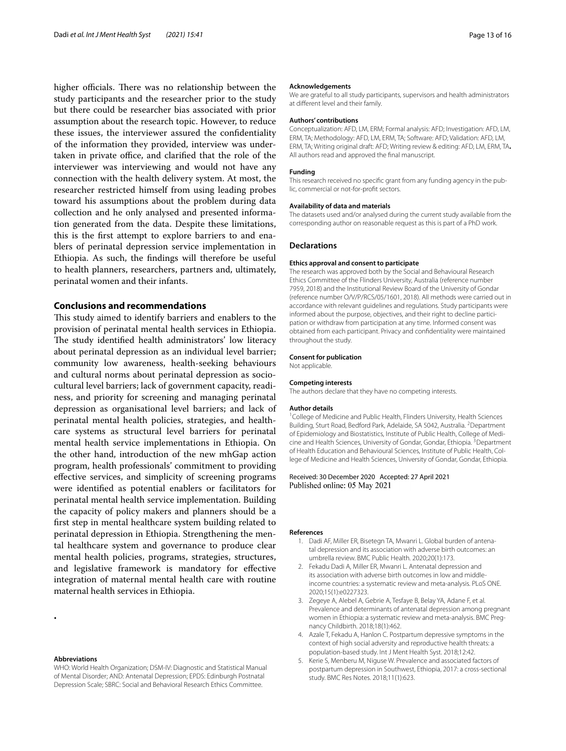higher officials. There was no relationship between the study participants and the researcher prior to the study but there could be researcher bias associated with prior assumption about the research topic. However, to reduce these issues, the interviewer assured the confdentiality of the information they provided, interview was undertaken in private office, and clarified that the role of the interviewer was interviewing and would not have any connection with the health delivery system. At most, the researcher restricted himself from using leading probes toward his assumptions about the problem during data collection and he only analysed and presented information generated from the data. Despite these limitations, this is the frst attempt to explore barriers to and enablers of perinatal depression service implementation in Ethiopia. As such, the fndings will therefore be useful to health planners, researchers, partners and, ultimately, perinatal women and their infants.

# **Conclusions and recommendations**

This study aimed to identify barriers and enablers to the provision of perinatal mental health services in Ethiopia. The study identified health administrators' low literacy about perinatal depression as an individual level barrier; community low awareness, health-seeking behaviours and cultural norms about perinatal depression as sociocultural level barriers; lack of government capacity, readiness, and priority for screening and managing perinatal depression as organisational level barriers; and lack of perinatal mental health policies, strategies, and healthcare systems as structural level barriers for perinatal mental health service implementations in Ethiopia. On the other hand, introduction of the new mhGap action program, health professionals' commitment to providing efective services, and simplicity of screening programs were identifed as potential enablers or facilitators for perinatal mental health service implementation. Building the capacity of policy makers and planners should be a frst step in mental healthcare system building related to perinatal depression in Ethiopia. Strengthening the mental healthcare system and governance to produce clear mental health policies, programs, strategies, structures, and legislative framework is mandatory for efective integration of maternal mental health care with routine maternal health services in Ethiopia.

**.**

WHO: World Health Organization; DSM-IV: Diagnostic and Statistical Manual of Mental Disorder; AND: Antenatal Depression; EPDS: Edinburgh Postnatal Depression Scale; SBRC: Social and Behavioral Research Ethics Committee.

#### **Acknowledgements**

We are grateful to all study participants, supervisors and health administrators at diferent level and their family.

#### **Authors' contributions**

Conceptualization: AFD, LM, ERM; Formal analysis: AFD; Investigation: AFD, LM, ERM, TA; Methodology: AFD, LM, ERM, TA; Software: AFD; Validation: AFD, LM, ERM, TA; Writing original draft: AFD; Writing review & editing: AFD, LM, ERM, TA**.**  All authors read and approved the fnal manuscript.

#### **Funding**

This research received no specifc grant from any funding agency in the public, commercial or not-for-proft sectors.

## **Availability of data and materials**

The datasets used and/or analysed during the current study available from the corresponding author on reasonable request as this is part of a PhD work.

#### **Declarations**

#### **Ethics approval and consent to participate**

The research was approved both by the Social and Behavioural Research Ethics Committee of the Flinders University, Australia (reference number 7959, 2018) and the Institutional Review Board of the University of Gondar (reference number O/V/P/RCS/05/1601, 2018). All methods were carried out in accordance with relevant guidelines and regulations. Study participants were informed about the purpose, objectives, and their right to decline participation or withdraw from participation at any time. Informed consent was obtained from each participant. Privacy and confdentiality were maintained throughout the study.

#### **Consent for publication**

Not applicable.

#### **Competing interests**

The authors declare that they have no competing interests.

#### **Author details**

<sup>1</sup> College of Medicine and Public Health, Flinders University, Health Sciences Building, Sturt Road, Bedford Park, Adelaide, SA 5042, Australia. <sup>2</sup> Department of Epidemiology and Biostatistics, Institute of Public Health, College of Medicine and Health Sciences, University of Gondar, Gondar, Ethiopia.<sup>3</sup> Department of Health Education and Behavioural Sciences, Institute of Public Health, College of Medicine and Health Sciences, University of Gondar, Gondar, Ethiopia.

#### Received: 30 December 2020 Accepted: 27 April 2021 Published online: 05 May 2021

#### <span id="page-12-0"></span>**References**

- 1. Dadi AF, Miller ER, Bisetegn TA, Mwanri L. Global burden of antenatal depression and its association with adverse birth outcomes: an umbrella review. BMC Public Health. 2020;20(1):173.
- <span id="page-12-1"></span>2. Fekadu Dadi A, Miller ER, Mwanri L. Antenatal depression and its association with adverse birth outcomes in low and middleincome countries: a systematic review and meta-analysis. PLoS ONE. 2020;15(1):e0227323.
- <span id="page-12-2"></span>3. Zegeye A, Alebel A, Gebrie A, Tesfaye B, Belay YA, Adane F, et al. Prevalence and determinants of antenatal depression among pregnant women in Ethiopia: a systematic review and meta-analysis. BMC Pregnancy Childbirth. 2018;18(1):462.
- <span id="page-12-3"></span>4. Azale T, Fekadu A, Hanlon C. Postpartum depressive symptoms in the context of high social adversity and reproductive health threats: a population-based study. Int J Ment Health Syst. 2018;12:42.
- <span id="page-12-4"></span>5. Kerie S, Menberu M, Niguse W. Prevalence and associated factors of postpartum depression in Southwest, Ethiopia, 2017: a cross-sectional study. BMC Res Notes. 2018;11(1):623.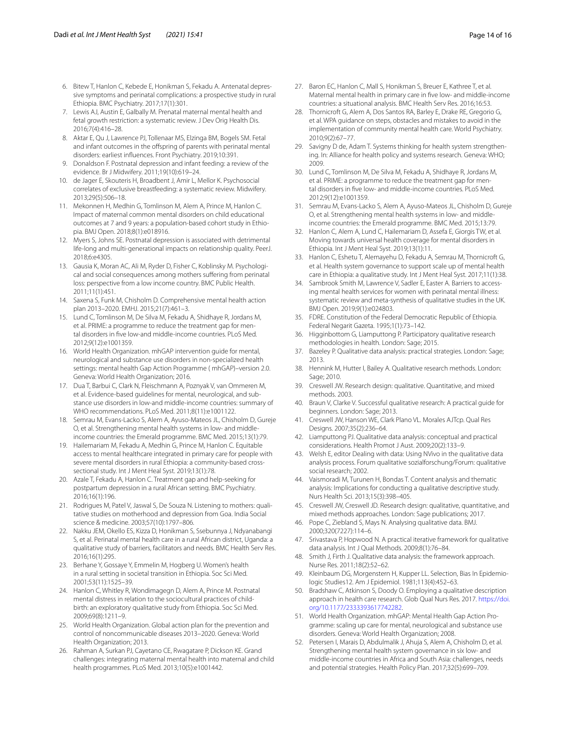- <span id="page-13-0"></span>6. Bitew T, Hanlon C, Kebede E, Honikman S, Fekadu A. Antenatal depressive symptoms and perinatal complications: a prospective study in rural Ethiopia. BMC Psychiatry. 2017;17(1):301.
- <span id="page-13-1"></span>7. Lewis AJ, Austin E, Galbally M. Prenatal maternal mental health and fetal growth restriction: a systematic review. J Dev Orig Health Dis. 2016;7(4):416–28.
- <span id="page-13-2"></span>8. Aktar E, Qu J, Lawrence PJ, Tollenaar MS, Elzinga BM, Bogels SM. Fetal and infant outcomes in the ofspring of parents with perinatal mental disorders: earliest infuences. Front Psychiatry. 2019;10:391.
- <span id="page-13-3"></span>9. Donaldson F. Postnatal depression and infant feeding: a review of the evidence. Br J Midwifery. 2011;19(10):619–24.
- <span id="page-13-4"></span>10. de Jager E, Skouteris H, Broadbent J, Amir L, Mellor K. Psychosocial correlates of exclusive breastfeeding: a systematic review. Midwifery. 2013;29(5):506–18.
- <span id="page-13-5"></span>11. Mekonnen H, Medhin G, Tomlinson M, Alem A, Prince M, Hanlon C. Impact of maternal common mental disorders on child educational outcomes at 7 and 9 years: a population-based cohort study in Ethiopia. BMJ Open. 2018;8(1):e018916.
- <span id="page-13-6"></span>12. Myers S, Johns SE. Postnatal depression is associated with detrimental life-long and multi-generational impacts on relationship quality. PeerJ. 2018;6:e4305.
- <span id="page-13-7"></span>13. Gausia K, Moran AC, Ali M, Ryder D, Fisher C, Koblinsky M. Psychological and social consequences among mothers sufering from perinatal loss: perspective from a low income country. BMC Public Health. 2011;11(1):451.
- <span id="page-13-8"></span>14. Saxena S, Funk M, Chisholm D. Comprehensive mental health action plan 2013–2020. EMHJ. 2015;21(7):461–3.
- 15. Lund C, Tomlinson M, De Silva M, Fekadu A, Shidhaye R, Jordans M, et al. PRIME: a programme to reduce the treatment gap for mental disorders in fve low-and middle-income countries. PLoS Med. 2012;9(12):e1001359.
- 16. World Health Organization. mhGAP intervention guide for mental, neurological and substance use disorders in non-specialized health settings: mental health Gap Action Programme ( mhGAP)–version 2.0. Geneva: World Health Organization; 2016.
- 17. Dua T, Barbui C, Clark N, Fleischmann A, Poznyak V, van Ommeren M, et al. Evidence-based guidelines for mental, neurological, and substance use disorders in low-and middle-income countries: summary of WHO recommendations. PLoS Med. 2011;8(11):e1001122.
- <span id="page-13-9"></span>18. Semrau M, Evans-Lacko S, Alem A, Ayuso-Mateos JL, Chisholm D, Gureje O, et al. Strengthening mental health systems in low- and middleincome countries: the Emerald programme. BMC Med. 2015;13(1):79.
- <span id="page-13-10"></span>19. Hailemariam M, Fekadu A, Medhin G, Prince M, Hanlon C. Equitable access to mental healthcare integrated in primary care for people with severe mental disorders in rural Ethiopia: a community-based crosssectional study. Int J Ment Heal Syst. 2019;13(1):78.
- <span id="page-13-11"></span>20. Azale T, Fekadu A, Hanlon C. Treatment gap and help-seeking for postpartum depression in a rural African setting. BMC Psychiatry. 2016;16(1):196.
- <span id="page-13-12"></span>21. Rodrigues M, Patel V, Jaswal S, De Souza N. Listening to mothers: qualitative studies on motherhood and depression from Goa. India Social science & medicine. 2003;57(10):1797–806.
- <span id="page-13-13"></span>22. Nakku JEM, Okello ES, Kizza D, Honikman S, Ssebunnya J, Ndyanabangi S, et al. Perinatal mental health care in a rural African district, Uganda: a qualitative study of barriers, facilitators and needs. BMC Health Serv Res. 2016;16(1):295.
- <span id="page-13-14"></span>23. Berhane Y, Gossaye Y, Emmelin M, Hogberg U. Women's health in a rural setting in societal transition in Ethiopia. Soc Sci Med. 2001;53(11):1525–39.
- <span id="page-13-15"></span>Hanlon C, Whitley R, Wondimagegn D, Alem A, Prince M. Postnatal mental distress in relation to the sociocultural practices of childbirth: an exploratory qualitative study from Ethiopia. Soc Sci Med. 2009;69(8):1211–9.
- <span id="page-13-16"></span>25. World Health Organization. Global action plan for the prevention and control of noncommunicable diseases 2013–2020. Geneva: World Health Organization; 2013.
- <span id="page-13-17"></span>26. Rahman A, Surkan PJ, Cayetano CE, Rwagatare P, Dickson KE. Grand challenges: integrating maternal mental health into maternal and child health programmes. PLoS Med. 2013;10(5):e1001442.
- <span id="page-13-18"></span>27. Baron EC, Hanlon C, Mall S, Honikman S, Breuer E, Kathree T, et al. Maternal mental health in primary care in fve low- and middle-income countries: a situational analysis. BMC Health Serv Res. 2016;16:53.
- <span id="page-13-19"></span>28. Thornicroft G, Alem A, Dos Santos RA, Barley E, Drake RE, Gregorio G, et al. WPA guidance on steps, obstacles and mistakes to avoid in the implementation of community mental health care. World Psychiatry. 2010;9(2):67–77.
- <span id="page-13-20"></span>29. Savigny D de, Adam T. Systems thinking for health system strengthening. In: Alliance for health policy and systems research. Geneva: WHO; 2009.
- <span id="page-13-21"></span>30. Lund C, Tomlinson M, De Silva M, Fekadu A, Shidhaye R, Jordans M, et al. PRIME: a programme to reduce the treatment gap for mental disorders in fve low- and middle-income countries. PLoS Med. 2012;9(12):e1001359.
- <span id="page-13-22"></span>31. Semrau M, Evans-Lacko S, Alem A, Ayuso-Mateos JL, Chisholm D, Gureje O, et al. Strengthening mental health systems in low- and middleincome countries: the Emerald programme. BMC Med. 2015;13:79.
- <span id="page-13-23"></span>32. Hanlon C, Alem A, Lund C, Hailemariam D, Assefa E, Giorgis TW, et al. Moving towards universal health coverage for mental disorders in Ethiopia. Int J Ment Heal Syst. 2019;13(1):11.
- <span id="page-13-24"></span>33. Hanlon C, Eshetu T, Alemayehu D, Fekadu A, Semrau M, Thornicroft G, et al. Health system governance to support scale up of mental health care in Ethiopia: a qualitative study. Int J Ment Heal Syst. 2017;11(1):38.
- <span id="page-13-25"></span>34. Sambrook Smith M, Lawrence V, Sadler E, Easter A. Barriers to accessing mental health services for women with perinatal mental illness: systematic review and meta-synthesis of qualitative studies in the UK. BMJ Open. 2019;9(1):e024803.
- <span id="page-13-26"></span>35. FDRE. Constitution of the Federal Democratic Republic of Ethiopia. Federal Negarit Gazeta. 1995;1(1):73–142.
- <span id="page-13-27"></span>36. Higginbottom G, Liamputtong P. Participatory qualitative research methodologies in health. London: Sage; 2015.
- <span id="page-13-28"></span>37. Bazeley P. Qualitative data analysis: practical strategies. London: Sage; 2013.
- <span id="page-13-29"></span>38. Hennink M, Hutter I, Bailey A. Qualitative research methods. London: Sage; 2010.
- <span id="page-13-30"></span>39. Creswell JW. Research design: qualitative. Quantitative, and mixed methods. 2003.
- <span id="page-13-31"></span>40. Braun V, Clarke V. Successful qualitative research: A practical guide for beginners. London: Sage; 2013.
- 41. Creswell JW, Hanson WE, Clark Plano VL. Morales AJTcp. Qual Res Designs. 2007;35(2):236–64.
- <span id="page-13-32"></span>42. Liamputtong PJ. Qualitative data analysis: conceptual and practical considerations. Health Promot J Aust. 2009;20(2):133–9.
- <span id="page-13-33"></span>43. Welsh E, editor Dealing with data: Using NVivo in the qualitative data analysis process. Forum qualitative sozialforschung/Forum: qualitative social research; 2002.
- <span id="page-13-34"></span>44. Vaismoradi M, Turunen H, Bondas T. Content analysis and thematic analysis: Implications for conducting a qualitative descriptive study. Nurs Health Sci. 2013;15(3):398–405.
- <span id="page-13-35"></span>45. Creswell JW, Creswell JD. Research design: qualitative, quantitative, and mixed methods approaches. London: Sage publications; 2017.
- 46. Pope C, Ziebland S, Mays N. Analysing qualitative data. BMJ. 2000;320(7227):114–6.
- 47. Srivastava P, Hopwood N. A practical iterative framework for qualitative data analysis. Int J Qual Methods. 2009;8(1):76–84.
- <span id="page-13-36"></span>48. Smith J, Firth J. Qualitative data analysis: the framework approach. Nurse Res. 2011;18(2):52–62.
- <span id="page-13-37"></span>49. Kleinbaum DG, Morgenstern H, Kupper LL. Selection, Bias In Epidemiologic Studies12. Am J Epidemiol. 1981;113(4):452–63.
- <span id="page-13-38"></span>50. Bradshaw C, Atkinson S, Doody O. Employing a qualitative description approach in health care research. Glob Qual Nurs Res. 2017. [https://doi.](https://doi.org/10.1177/2333393617742282) [org/10.1177/2333393617742282.](https://doi.org/10.1177/2333393617742282)
- <span id="page-13-39"></span>51. World Health Organization. mhGAP: Mental Health Gap Action Programme: scaling up care for mental, neurological and substance use disorders. Geneva: World Health Organization; 2008.
- <span id="page-13-40"></span>52. Petersen I, Marais D, Abdulmalik J, Ahuja S, Alem A, Chisholm D, et al. Strengthening mental health system governance in six low- and middle-income countries in Africa and South Asia: challenges, needs and potential strategies. Health Policy Plan. 2017;32(5):699–709.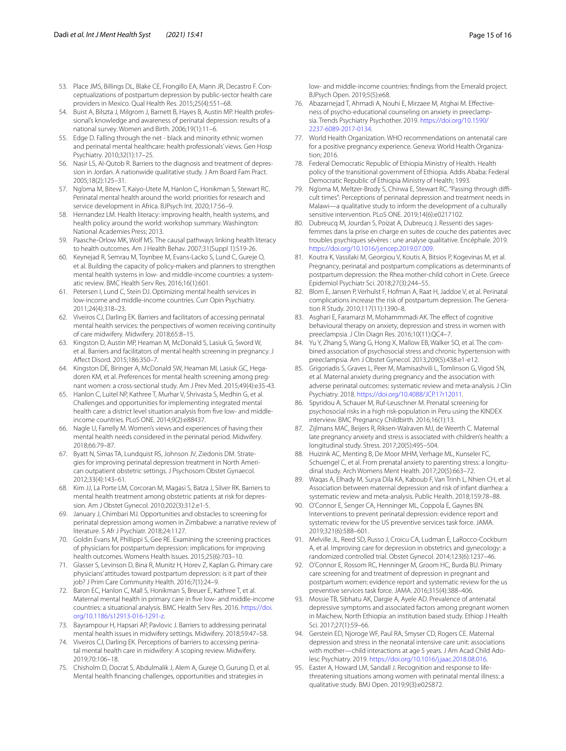- <span id="page-14-0"></span>53. Place JMS, Billings DL, Blake CE, Frongillo EA, Mann JR, Decastro F. Conceptualizations of postpartum depression by public-sector health care providers in Mexico. Qual Health Res. 2015;25(4):551–68.
- <span id="page-14-1"></span>54. Buist A, Bilszta J, Milgrom J, Barnett B, Hayes B, Austin MP. Health professional's knowledge and awareness of perinatal depression: results of a national survey. Women and Birth. 2006;19(1):11–6.
- <span id="page-14-2"></span>55. Edge D. Falling through the net - black and minority ethnic women and perinatal mental healthcare: health professionals' views. Gen Hosp Psychiatry. 2010;32(1):17–25.
- <span id="page-14-3"></span>56. Nasir LS, Al-Qutob R. Barriers to the diagnosis and treatment of depression in Jordan. A nationwide qualitative study. J Am Board Fam Pract. 2005;18(2):125–31.
- <span id="page-14-4"></span>57. Ng'oma M, Bitew T, Kaiyo-Utete M, Hanlon C, Honikman S, Stewart RC. Perinatal mental health around the world: priorities for research and service development in Africa. BJPsych Int. 2020;17:56–9.
- <span id="page-14-5"></span>58. Hernandez LM. Health literacy: improving health, health systems, and health policy around the world: workshop summary. Washington: National Academies Press; 2013.
- <span id="page-14-6"></span>59. Paasche-Orlow MK, Wolf MS. The causal pathways linking health literacy to health outcomes. Am J Health Behav. 2007;31(Suppl 1):S19-26.
- <span id="page-14-7"></span>60. Keynejad R, Semrau M, Toynbee M, Evans-Lacko S, Lund C, Gureje O, et al. Building the capacity of policy-makers and planners to strengthen mental health systems in low- and middle-income countries: a systematic review. BMC Health Serv Res. 2016;16(1):601.
- <span id="page-14-8"></span>61. Petersen I, Lund C, Stein DJ. Optimizing mental health services in low-income and middle-income countries. Curr Opin Psychiatry. 2011;24(4):318–23.
- <span id="page-14-9"></span>62. Viveiros CJ, Darling EK. Barriers and facilitators of accessing perinatal mental health services: the perspectives of women receiving continuity of care midwifery. Midwifery. 2018;65:8–15.
- <span id="page-14-35"></span>63. Kingston D, Austin MP, Heaman M, McDonald S, Lasiuk G, Sword W, et al. Barriers and facilitators of mental health screening in pregnancy. J Afect Disord. 2015;186:350–7.
- <span id="page-14-10"></span>64. Kingston DE, Biringer A, McDonald SW, Heaman MI, Lasiuk GC, Hegadoren KM, et al. Preferences for mental health screening among pregnant women: a cross-sectional study. Am J Prev Med. 2015;49(4):e35-43.
- <span id="page-14-11"></span>65. Hanlon C, Luitel NP, Kathree T, Murhar V, Shrivasta S, Medhin G, et al. Challenges and opportunities for implementing integrated mental health care: a district level situation analysis from fve low- and middleincome countries. PLoS ONE. 2014;9(2):e88437.
- <span id="page-14-12"></span>66. Nagle U, Farrelly M. Women's views and experiences of having their mental health needs considered in the perinatal period. Midwifery. 2018;66:79–87.
- 67. Byatt N, Simas TA, Lundquist RS, Johnson JV, Ziedonis DM. Strategies for improving perinatal depression treatment in North American outpatient obstetric settings. J Psychosom Obstet Gynaecol. 2012;33(4):143–61.
- <span id="page-14-13"></span>68. Kim JJ, La Porte LM, Corcoran M, Magasi S, Batza J, Silver RK. Barriers to mental health treatment among obstetric patients at risk for depression. Am J Obstet Gynecol. 2010;202(3):312.e1-5.
- <span id="page-14-14"></span>69. January J, Chimbari MJ. Opportunities and obstacles to screening for perinatal depression among women in Zimbabwe: a narrative review of literature. S Afr J Psychiatr. 2018;24:1127.
- 70. Goldin Evans M, Phillippi S, Gee RE. Examining the screening practices of physicians for postpartum depression: implications for improving health outcomes. Womens Health Issues. 2015;25(6):703–10.
- 71. Glasser S, Levinson D, Bina R, Munitz H, Horev Z, Kaplan G. Primary care physicians' attitudes toward postpartum depression: is it part of their job? J Prim Care Community Health. 2016;7(1):24–9.
- <span id="page-14-15"></span>72. Baron EC, Hanlon C, Mall S, Honikman S, Breuer E, Kathree T, et al. Maternal mental health in primary care in fve low- and middle-income countries: a situational analysis. BMC Health Serv Res. 2016. [https://doi.](https://doi.org/10.1186/s12913-016-1291-z) [org/10.1186/s12913-016-1291-z](https://doi.org/10.1186/s12913-016-1291-z).
- <span id="page-14-16"></span>73. Bayrampour H, Hapsari AP, Pavlovic J. Barriers to addressing perinatal mental health issues in midwifery settings. Midwifery. 2018;59:47–58.
- <span id="page-14-17"></span>74. Viveiros CJ, Darling EK. Perceptions of barriers to accessing perinatal mental health care in midwifery: A scoping review. Midwifery. 2019;70:106–18.
- <span id="page-14-18"></span>75. Chisholm D, Docrat S, Abdulmalik J, Alem A, Gureje O, Gurung D, et al. Mental health fnancing challenges, opportunities and strategies in

low- and middle-income countries: fndings from the Emerald project. BJPsych Open. 2019;5(5):e68.

- <span id="page-14-19"></span>76. Abazarnejad T, Ahmadi A, Nouhi E, Mirzaee M, Atghai M. Efectiveness of psycho-educational counseling on anxiety in preeclampsia. Trends Psychiatry Psychother. 2019. [https://doi.org/10.1590/](https://doi.org/10.1590/2237-6089-2017-0134) [2237-6089-2017-0134](https://doi.org/10.1590/2237-6089-2017-0134).
- <span id="page-14-20"></span>77. World Health Organization. WHO recommendations on antenatal care for a positive pregnancy experience. Geneva: World Health Organization; 2016.
- <span id="page-14-21"></span>78. Federal Democratic Republic of Ethiopia Ministry of Health. Health policy of the transitional government of Ethiopia. Addis Ababa: Federal Democratic Republic of Ethiopia Ministry of Health; 1993.
- <span id="page-14-22"></span>79. Ng'oma M, Meltzer-Brody S, Chirwa E, Stewart RC. "Passing through difficult times": Perceptions of perinatal depression and treatment needs in Malawi—a qualitative study to inform the development of a culturally sensitive intervention. PLoS ONE. 2019;14(6):e0217102.
- <span id="page-14-23"></span>80. Dubreucq M, Jourdan S, Poizat A, Dubreucq J. Ressenti des sagesfemmes dans la prise en charge en suites de couche des patientes avec troubles psychiques sévères : une analyse qualitative. Encéphale. 2019. <https://doi.org/10.1016/j.encep.2019.07.009>.
- <span id="page-14-24"></span>81. Koutra K, Vassilaki M, Georgiou V, Koutis A, Bitsios P, Kogevinas M, et al. Pregnancy, perinatal and postpartum complications as determinants of postpartum depression: the Rhea mother-child cohort in Crete. Greece Epidemiol Psychiatr Sci. 2018;27(3):244–55.
- 82. Blom E, Jansen P, Verhulst F, Hofman A, Raat H, Jaddoe V, et al. Perinatal complications increase the risk of postpartum depression. The Generation R Study. 2010;117(11):1390–8.
- <span id="page-14-25"></span>83. Asghari E, Faramarzi M, Mohammmadi AK. The effect of cognitive behavioural therapy on anxiety, depression and stress in women with preeclampsia. J Clin Diagn Res. 2016;10(11):QC4–7.
- <span id="page-14-26"></span>84. Yu Y, Zhang S, Wang G, Hong X, Mallow EB, Walker SO, et al. The combined association of psychosocial stress and chronic hypertension with preeclampsia. Am J Obstet Gynecol. 2013;209(5):438.e1-e12.
- <span id="page-14-27"></span>85. Grigoriadis S, Graves L, Peer M, Mamisashvili L, Tomlinson G, Vigod SN, et al. Maternal anxiety during pregnancy and the association with adverse perinatal outcomes: systematic review and meta-analysis. J Clin Psychiatry. 2018. <https://doi.org/10.4088/JCP.17r12011>.
- <span id="page-14-28"></span>86. Spyridou A, Schauer M, Ruf-Leuschner M. Prenatal screening for psychosocial risks in a high risk-population in Peru using the KINDEX interview. BMC Pregnancy Childbirth. 2016;16(1):13.
- 87. Zijlmans MAC, Beijers R, Riksen-Walraven MJ, de Weerth C. Maternal late pregnancy anxiety and stress is associated with children's health: a longitudinal study. Stress. 2017;20(5):495–504.
- 88. Huizink AC, Menting B, De Moor MHM, Verhage ML, Kunseler FC, Schuengel C, et al. From prenatal anxiety to parenting stress: a longitudinal study. Arch Womens Ment Health. 2017;20(5):663–72.
- <span id="page-14-29"></span>89. Waqas A, Elhady M, Surya Dila KA, Kaboub F, Van Trinh L, Nhien CH, et al. Association between maternal depression and risk of infant diarrhea: a systematic review and meta-analysis. Public Health. 2018;159:78–88.
- <span id="page-14-30"></span>90. O'Connor E, Senger CA, Henninger ML, Coppola E, Gaynes BN. Interventions to prevent perinatal depression: evidence report and systematic review for the US preventive services task force. JAMA. 2019;321(6):588–601.
- 91. Melville JL, Reed SD, Russo J, Croicu CA, Ludman E, LaRocco-Cockburn A, et al. Improving care for depression in obstetrics and gynecology: a randomized controlled trial. Obstet Gynecol. 2014;123(6):1237–46.
- <span id="page-14-31"></span>92. O'Connor E, Rossom RC, Henninger M, Groom HC, Burda BU. Primary care screening for and treatment of depression in pregnant and postpartum women: evidence report and systematic review for the us preventive services task force. JAMA. 2016;315(4):388–406.
- <span id="page-14-32"></span>93. Mossie TB, Sibhatu AK, Dargie A, Ayele AD. Prevalence of antenatal depressive symptoms and associated factors among pregnant women in Maichew, North Ethiopia: an institution based study. Ethiop J Health Sci. 2017;27(1):59–66.
- <span id="page-14-33"></span>94. Gerstein ED, Njoroge WF, Paul RA, Smyser CD, Rogers CE. Maternal depression and stress in the neonatal intensive care unit: associations with mother—child interactions at age 5 years. J Am Acad Child Adolesc Psychiatry. 2019. <https://doi.org/10.1016/j.jaac.2018.08.016>.
- <span id="page-14-34"></span>Easter A, Howard LM, Sandall J. Recognition and response to lifethreatening situations among women with perinatal mental illness: a qualitative study. BMJ Open. 2019;9(3):e025872.